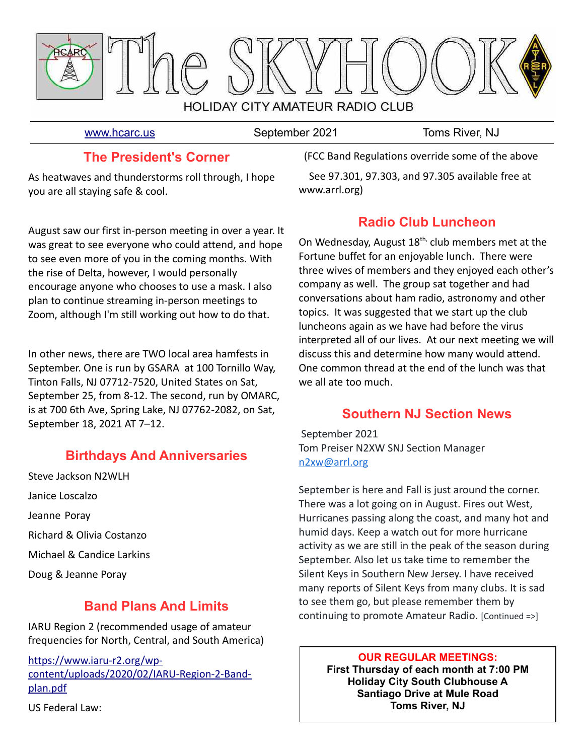

[www.hcarc.us](http://www.hcarc.us/) September 2021 Toms River, NJ

## **The President's Corner**

As heatwaves and thunderstorms roll through, I hope you are all staying safe & cool.

August saw our first in-person meeting in over a year. It was great to see everyone who could attend, and hope to see even more of you in the coming months. With the rise of Delta, however, I would personally encourage anyone who chooses to use a mask. I also plan to continue streaming in-person meetings to Zoom, although I'm still working out how to do that.

In other news, there are TWO local area hamfests in September. One is run by GSARA at 100 Tornillo Way, Tinton Falls, NJ 07712-7520, United States on Sat, September 25, from 8-12. The second, run by OMARC, is at 700 6th Ave, Spring Lake, NJ 07762-2082, on Sat, September 18, 2021 AT 7–12.

# **Birthdays And Anniversaries**

Steve Jackson N2WLH Janice Loscalzo Jeanne Poray Richard & Olivia Costanzo Michael & Candice Larkins Doug & Jeanne Poray

# **Band Plans And Limits**

IARU Region 2 (recommended usage of amateur frequencies for North, Central, and South America)

[https://www.iaru-r2.org/wp](https://www.iaru-r2.org/wp-content/uploads/2020/02/IARU-Region-2-Band-plan.pdf)[content/uploads/2020/02/IARU-Region-2-Band](https://www.iaru-r2.org/wp-content/uploads/2020/02/IARU-Region-2-Band-plan.pdf)[plan.pdf](https://www.iaru-r2.org/wp-content/uploads/2020/02/IARU-Region-2-Band-plan.pdf) US Federal Law:

 (FCC Band Regulations override some of the above See 97.301, 97.303, and 97.305 available free at www.arrl.org)

# **Radio Club Luncheon**

On Wednesday, August  $18<sup>th</sup>$ , club members met at the Fortune buffet for an enjoyable lunch. There were three wives of members and they enjoyed each other's company as well. The group sat together and had conversations about ham radio, astronomy and other topics. It was suggested that we start up the club luncheons again as we have had before the virus interpreted all of our lives. At our next meeting we will discuss this and determine how many would attend. One common thread at the end of the lunch was that we all ate too much.

# **Southern NJ Section News**

 September 2021 Tom Preiser N2XW SNJ Section Manager [n2xw@arrl.org](mailto:n2xw@arrl.org)

September is here and Fall is just around the corner. There was a lot going on in August. Fires out West, Hurricanes passing along the coast, and many hot and humid days. Keep a watch out for more hurricane activity as we are still in the peak of the season during September. Also let us take time to remember the Silent Keys in Southern New Jersey. I have received many reports of Silent Keys from many clubs. It is sad to see them go, but please remember them by continuing to promote Amateur Radio. [Continued =>]

> **OUR REGULAR MEETINGS: First Thursday of each month at 7:00 PM Holiday City South Clubhouse A Santiago Drive at Mule Road Toms River, NJ**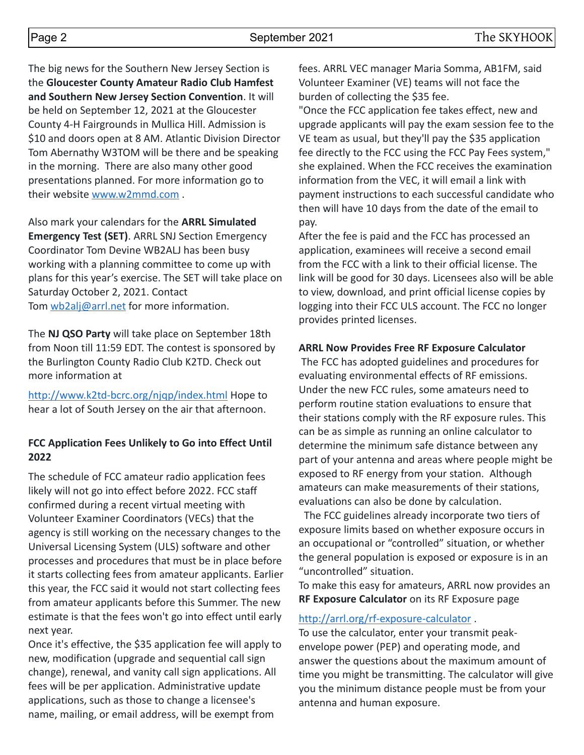The big news for the Southern New Jersey Section is the **Gloucester County Amateur Radio Club Hamfest and Southern New Jersey Section Convention**. It will be held on September 12, 2021 at the Gloucester County 4-H Fairgrounds in Mullica Hill. Admission is \$10 and doors open at 8 AM. Atlantic Division Director Tom Abernathy W3TOM will be there and be speaking in the morning. There are also many other good presentations planned. For more information go to their website [www.w2mmd.com](http://www.w2mmd.com/) .

Also mark your calendars for the **ARRL Simulated Emergency Test (SET)**. ARRL SNJ Section Emergency Coordinator Tom Devine WB2ALJ has been busy working with a planning committee to come up with plans for this year's exercise. The SET will take place on Saturday October 2, 2021. Contact Tom [wb2alj@arrl.net](mailto:wb2alj@arrl.net) for more information.

The **NJ QSO Party** will take place on September 18th from Noon till 11:59 EDT. The contest is sponsored by the Burlington County Radio Club K2TD. Check out more information at

<http://www.k2td-bcrc.org/njqp/index.html> Hope to hear a lot of South Jersey on the air that afternoon.

### **FCC Application Fees Unlikely to Go into Effect Until 2022**

The schedule of FCC amateur radio application fees likely will not go into effect before 2022. FCC staff confirmed during a recent virtual meeting with Volunteer Examiner Coordinators (VECs) that the agency is still working on the necessary changes to the Universal Licensing System (ULS) software and other processes and procedures that must be in place before it starts collecting fees from amateur applicants. Earlier this year, the FCC said it would not start collecting fees from amateur applicants before this Summer. The new estimate is that the fees won't go into effect until early next year.

Once it's effective, the \$35 application fee will apply to new, modification (upgrade and sequential call sign change), renewal, and vanity call sign applications. All fees will be per application. Administrative update applications, such as those to change a licensee's name, mailing, or email address, will be exempt from

fees. ARRL VEC manager Maria Somma, AB1FM, said Volunteer Examiner (VE) teams will not face the burden of collecting the \$35 fee.

"Once the FCC application fee takes effect, new and upgrade applicants will pay the exam session fee to the VE team as usual, but they'll pay the \$35 application fee directly to the FCC using the FCC Pay Fees system," she explained. When the FCC receives the examination information from the VEC, it will email a link with payment instructions to each successful candidate who then will have 10 days from the date of the email to pay.

After the fee is paid and the FCC has processed an application, examinees will receive a second email from the FCC with a link to their official license. The link will be good for 30 days. Licensees also will be able to view, download, and print official license copies by logging into their FCC ULS account. The FCC no longer provides printed licenses.

#### **ARRL Now Provides Free RF Exposure Calculator**

The FCC has adopted guidelines and procedures for evaluating environmental effects of RF emissions. Under the new FCC rules, some amateurs need to perform routine station evaluations to ensure that their stations comply with the RF exposure rules. This can be as simple as running an online calculator to determine the minimum safe distance between any part of your antenna and areas where people might be exposed to RF energy from your station. Although amateurs can make measurements of their stations, evaluations can also be done by calculation.

 The FCC guidelines already incorporate two tiers of exposure limits based on whether exposure occurs in an occupational or "controlled" situation, or whether the general population is exposed or exposure is in an "uncontrolled" situation.

To make this easy for amateurs, ARRL now provides an **RF Exposure Calculator** on its RF Exposure page

#### <http://arrl.org/rf-exposure-calculator> .

To use the calculator, enter your transmit peakenvelope power (PEP) and operating mode, and answer the questions about the maximum amount of time you might be transmitting. The calculator will give you the minimum distance people must be from your antenna and human exposure.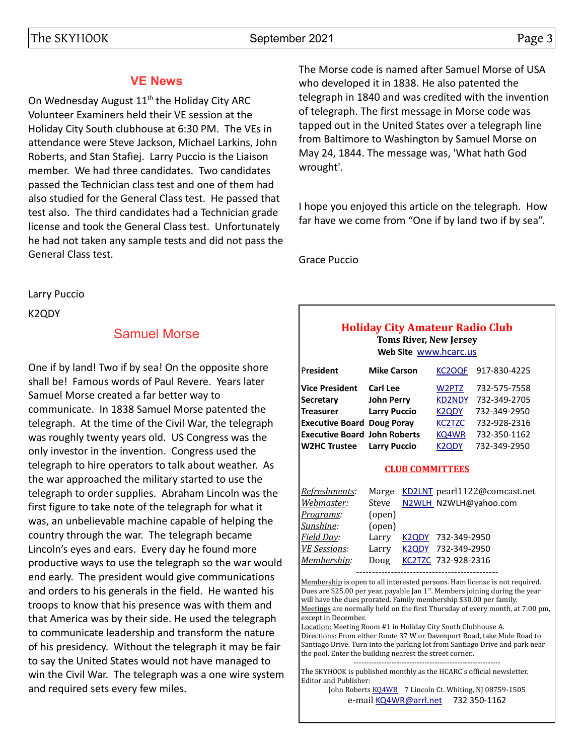## **VE News**

On Wednesday August 11<sup>th</sup> the Holiday City ARC Volunteer Examiners held their VE session at the Holiday City South clubhouse at 6:30 PM. The VEs in attendance were Steve Jackson, Michael Larkins, John Roberts, and Stan Stafiej. Larry Puccio is the Liaison member. We had three candidates. Two candidates passed the Technician class test and one of them had also studied for the General Class test. He passed that test also. The third candidates had a Technician grade license and took the General Class test. Unfortunately he had not taken any sample tests and did not pass the General Class test.

Larry Puccio

K2QDY

## Samuel Morse

One if by land! Two if by sea! On the opposite shore shall be! Famous words of Paul Revere. Years later Samuel Morse created a far better way to communicate. In 1838 Samuel Morse patented the telegraph. At the time of the Civil War, the telegraph was roughly twenty years old. US Congress was the only investor in the invention. Congress used the telegraph to hire operators to talk about weather. As the war approached the military started to use the telegraph to order supplies. Abraham Lincoln was the first figure to take note of the telegraph for what it was, an unbelievable machine capable of helping the country through the war. The telegraph became Lincoln's eyes and ears. Every day he found more productive ways to use the telegraph so the war would end early. The president would give communications and orders to his generals in the field. He wanted his troops to know that his presence was with them and that America was by their side. He used the telegraph to communicate leadership and transform the nature of his presidency. Without the telegraph it may be fair to say the United States would not have managed to win the Civil War. The telegraph was a one wire system and required sets every few miles.

The Morse code is named after Samuel Morse of USA who developed it in 1838. He also patented the telegraph in 1840 and was credited with the invention of telegraph. The first message in Morse code was tapped out in the United States over a telegraph line from Baltimore to Washington by Samuel Morse on May 24, 1844. The message was, 'What hath God wrought'.

I hope you enjoyed this article on the telegraph. How far have we come from "One if by land two if by sea".

Grace Puccio

## **Holiday City Amateur Radio Club Toms River, New Jersey**

**Web Site** [www.hcarc.us](http://www.hcarc.us/)

| President                           | <b>Mike Carson</b>  | KC2OQF             | 917-830-4225 |
|-------------------------------------|---------------------|--------------------|--------------|
| <b>Vice President</b>               | Carl Lee            | W2PTZ              | 732-575-7558 |
| <b>Secretary</b>                    | <b>John Perry</b>   | <b>KD2NDY</b>      | 732-349-2705 |
| <b>Treasurer</b>                    | <b>Larry Puccio</b> | <b>K2QDY</b>       | 732-349-2950 |
| <b>Executive Board Doug Poray</b>   |                     | <b>KC2TZC</b>      | 732-928-2316 |
| <b>Executive Board John Roberts</b> |                     | <b>KQ4WR</b>       | 732-350-1162 |
| <b>W2HC Trustee</b>                 | <b>Larry Puccio</b> | K <sub>2</sub> ODY | 732-349-2950 |

#### **CLUB COMMITTEES**

| Refreshments:       | Marge  | KD2LNT pearl1122@comcast.net |
|---------------------|--------|------------------------------|
| Webmaster:          | Steve  | N2WLH_N2WLH@yahoo.com        |
| Programs:           | (open) |                              |
| Sunshine:           | (open) |                              |
| Field Day:          | Larry  | K2QDY 732-349-2950           |
| <b>VE Sessions:</b> | Larry  | K2QDY 732-349-2950           |
| Membership:         | Doug   | KC2TZC 732-928-2316          |
|                     |        |                              |

---------------------------------------------

Membership is open to all interested persons. Ham license is not required. Dues are \$25.00 per year, payable Jan 1<sup>st</sup>. Members joining during the year will have the dues prorated. Family membership \$30.00 per family. Meetings are normally held on the first Thursday of every month, at 7:00 pm, except in December.

Location: Meeting Room #1 in Holiday City South Clubhouse A. Directions: From either Route 37 W or Davenport Road, take Mule Road to Santiago Drive. Turn into the parking lot from Santiago Drive and park near the pool. Enter the building nearest the street corner..

---------------------------------------------------------- The SKYHOOK is published monthly as the HCARC's official newsletter. Editor and Publisher:

John Roberts [KQ4WR](mailto:kq4wr@arrl.net) 7 Lincoln Ct. Whiting, NJ 08759-1505 e-mail [KQ4WR@arrl.net](mailto:KQ4WR@arrl.net) 732 350-1162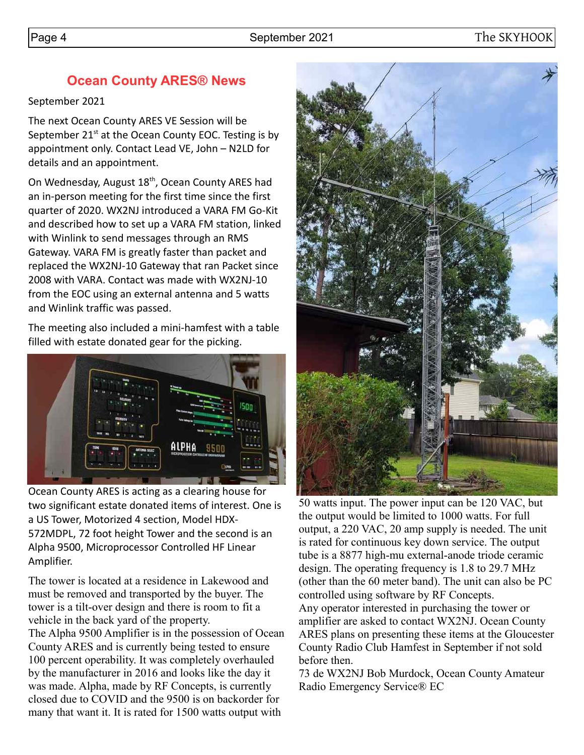## **Ocean County ARES® News**

September 2021

The next Ocean County ARES VE Session will be September  $21<sup>st</sup>$  at the Ocean County EOC. Testing is by appointment only. Contact Lead VE, John – N2LD for details and an appointment.

On Wednesday, August 18<sup>th</sup>, Ocean County ARES had an in-person meeting for the first time since the first quarter of 2020. WX2NJ introduced a VARA FM Go-Kit and described how to set up a VARA FM station, linked with Winlink to send messages through an RMS Gateway. VARA FM is greatly faster than packet and replaced the WX2NJ-10 Gateway that ran Packet since 2008 with VARA. Contact was made with WX2NJ-10 from the EOC using an external antenna and 5 watts and Winlink traffic was passed.

The meeting also included a mini-hamfest with a table filled with estate donated gear for the picking.



Ocean County ARES is acting as a clearing house for two significant estate donated items of interest. One is a US Tower, Motorized 4 section, Model HDX-572MDPL, 72 foot height Tower and the second is an Alpha 9500, Microprocessor Controlled HF Linear Amplifier.

The tower is located at a residence in Lakewood and must be removed and transported by the buyer. The tower is a tilt-over design and there is room to fit a vehicle in the back yard of the property.

The Alpha 9500 Amplifier is in the possession of Ocean County ARES and is currently being tested to ensure 100 percent operability. It was completely overhauled by the manufacturer in 2016 and looks like the day it was made. Alpha, made by RF Concepts, is currently closed due to COVID and the 9500 is on backorder for many that want it. It is rated for 1500 watts output with



50 watts input. The power input can be 120 VAC, but the output would be limited to 1000 watts. For full output, a 220 VAC, 20 amp supply is needed. The unit is rated for continuous key down service. The output tube is a 8877 high-mu external-anode triode ceramic design. The operating frequency is 1.8 to 29.7 MHz (other than the 60 meter band). The unit can also be PC controlled using software by RF Concepts. Any operator interested in purchasing the tower or amplifier are asked to contact WX2NJ. Ocean County ARES plans on presenting these items at the Gloucester County Radio Club Hamfest in September if not sold before then.

73 de WX2NJ Bob Murdock, Ocean County Amateur Radio Emergency Service® EC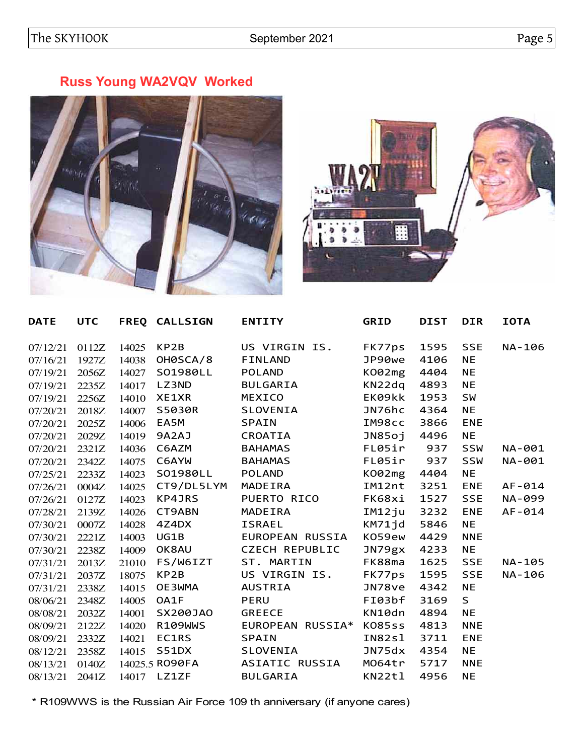# **Russ Young WA2VQV Worked**





| <b>DATE</b> | <b>UTC</b> |       | FREQ CALLSIGN       | <b>ENTITY</b>           | <b>GRID</b> | <b>DIST</b> | <b>DIR</b> | <b>IOTA</b> |
|-------------|------------|-------|---------------------|-------------------------|-------------|-------------|------------|-------------|
| 07/12/21    | 0112Z      | 14025 | KP2B                | US VIRGIN IS.           | FK77ps      | 1595        | <b>SSE</b> | NA-106      |
| 07/16/21    | 1927Z      | 14038 | OH0SCA/8            | <b>FINLAND</b>          | JP90we      | 4106        | <b>NE</b>  |             |
| 07/19/21    | 2056Z      | 14027 | S01980LL            | POLAND                  | K002mg      | 4404        | <b>NE</b>  |             |
| 07/19/21    | 2235Z      | 14017 | LZ3ND               | <b>BULGARIA</b>         | KN22dq      | 4893        | <b>NE</b>  |             |
| 07/19/21    | 2256Z      | 14010 | <b>XE1XR</b>        | MEXICO                  | EK09kk      | 1953        | <b>SW</b>  |             |
| 07/20/21    | 2018Z      | 14007 | S5030R              | SLOVENIA                | JN76hc      | 4364        | <b>NE</b>  |             |
| 07/20/21    | 2025Z      | 14006 | EA5M                | <b>SPAIN</b>            | IM98cc      | 3866        | <b>ENE</b> |             |
| 07/20/21    | 2029Z      | 14019 | 9A2AJ               | CROATIA                 | JN85oj      | 4496        | <b>NE</b>  |             |
| 07/20/21    | 2321Z      | 14036 | C6AZM               | <b>BAHAMAS</b>          | FL05ir      | 937         | SSW        | NA-001      |
| 07/20/21    | 2342Z      | 14075 | C6AYW               | <b>BAHAMAS</b>          | FL05ir      | 937         | SSW        | NA-001      |
| 07/25/21    | 2233Z      | 14023 | S01980LL            | <b>POLAND</b>           | K002mg      | 4404        | <b>NE</b>  |             |
| 07/26/21    | 0004Z      | 14025 | CT9/DL5LYM          | MADEIRA                 | IM12nt      | 3251        | <b>ENE</b> | $AF - 014$  |
| 07/26/21    | 0127Z      | 14023 | KP4JRS              | PUERTO RICO             | FK68xi      | 1527        | <b>SSE</b> | NA-099      |
| 07/28/21    | 2139Z      | 14026 | CT9ABN              | MADEIRA                 | IM12ju      | 3232        | <b>ENE</b> | $AF - 014$  |
| 07/30/21    | 0007Z      | 14028 | 4Z4DX               | <b>ISRAEL</b>           | KM71jd      | 5846        | <b>NE</b>  |             |
| 07/30/21    | 2221Z      | 14003 | UG1B                | EUROPEAN RUSSIA         | K059ew      | 4429        | <b>NNE</b> |             |
| 07/30/21    | 2238Z      | 14009 | OK8AU               | <b>CZECH REPUBLIC</b>   | JN79gX      | 4233        | <b>NE</b>  |             |
| 07/31/21    | 2013Z      | 21010 | FS/W6IZT ST. MARTIN |                         | FK88ma      | 1625        | <b>SSE</b> | NA-105      |
| 07/31/21    | 2037Z      | 18075 | KP2B                | US VIRGIN IS.           | FK77ps      | 1595        | <b>SSE</b> | NA-106      |
| 07/31/21    | 2338Z      | 14015 | OE3WMA              | <b>AUSTRIA</b>          | JN78ve      | 4342        | <b>NE</b>  |             |
| 08/06/21    | 2348Z      | 14005 | OA1F                | <b>PERU</b>             | FI03bf      | 3169        | S          |             |
| 08/08/21    | 2032Z      | 14001 | SX200JA0            | <b>GREECE</b>           | KN10dn      | 4894        | <b>NE</b>  |             |
| 08/09/21    | 2122Z      | 14020 | R109WWS             | EUROPEAN RUSSIA* KO85ss |             | 4813        | <b>NNE</b> |             |
| 08/09/21    | 2332Z      | 14021 | EC1RS               | <b>SPAIN</b>            | IN82sl      | 3711        | <b>ENE</b> |             |
| 08/12/21    | 2358Z      | 14015 | S51DX               | SLOVENIA                | JN75dx      | 4354        | <b>NE</b>  |             |
| 08/13/21    | 0140Z      |       | 14025.5 RO90FA      | ASIATIC RUSSIA          | M064tr      | 5717        | <b>NNE</b> |             |
| 08/13/21    | 2041Z      | 14017 | <b>LZ1ZF</b>        | <b>BULGARIA</b>         | KN22tl      | 4956        | <b>NE</b>  |             |

\* R109WWS is the Russian Air Force 109 th anniversary (if anyone cares)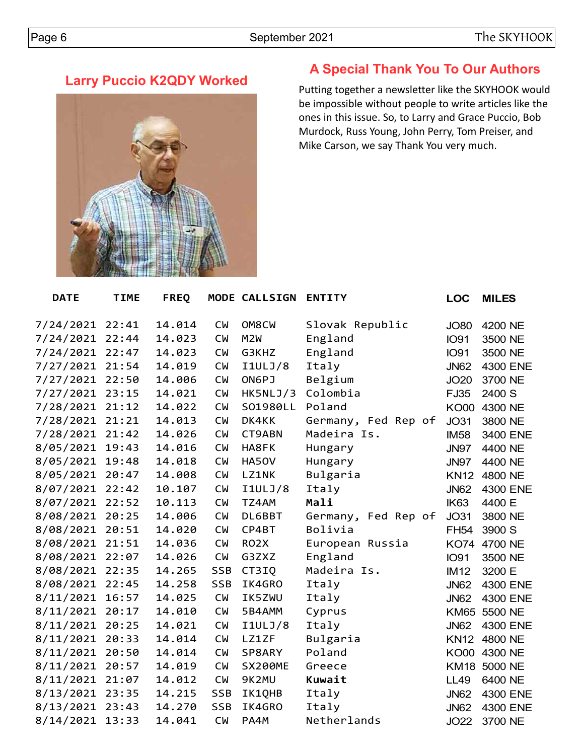# **Larry Puccio K2QDY Worked**



## **A Special Thank You To Our Authors**

Putting together a newsletter like the SKYHOOK would be impossible without people to write articles like the ones in this issue. So, to Larry and Grace Puccio, Bob Murdock, Russ Young, John Perry, Tom Preiser, and Mike Carson, we say Thank You very much.

| <b>DATE</b> | <b>TIME</b> | <b>FREQ</b> |            | MODE CALLSIGN  | <b>ENTITY</b>       | <b>LOC</b>  | <b>MILES</b> |
|-------------|-------------|-------------|------------|----------------|---------------------|-------------|--------------|
|             |             |             |            |                |                     |             |              |
| 7/24/2021   | 22:41       | 14.014      | <b>CW</b>  | OM8CW          | Slovak Republic     | <b>JO80</b> | 4200 NE      |
| 7/24/2021   | 22:44       | 14.023      | <b>CW</b>  | M2W            | England             | <b>IO91</b> | 3500 NE      |
| 7/24/2021   | 22:47       | 14.023      | <b>CW</b>  | G3KHZ          | England             | <b>IO91</b> | 3500 NE      |
| 7/27/2021   | 21:54       | 14.019      | <b>CW</b>  | I1ULJ/8        | Italy               | <b>JN62</b> | 4300 ENE     |
| 7/27/2021   | 22:50       | 14.006      | <b>CW</b>  | ON6PJ          | Belgium             | <b>JO20</b> | 3700 NE      |
| 7/27/2021   | 23:15       | 14.021      | <b>CM</b>  | HK5NLJ/3       | Colombia            | <b>FJ35</b> | 2400 S       |
| 7/28/2021   | 21:12       | 14.022      | <b>CM</b>  | S01980LL       | Poland              | <b>KO00</b> | 4300 NE      |
| 7/28/2021   | 21:21       | 14.013      | <b>CW</b>  | DK4KK          | Germany, Fed Rep of | <b>JO31</b> | 3800 NE      |
| 7/28/2021   | 21:42       | 14.026      | <b>CW</b>  | CT9ABN         | Madeira Is.         | <b>IM58</b> | 3400 ENE     |
| 8/05/2021   | 19:43       | 14.016      | <b>CW</b>  | HA8FK          | Hungary             | <b>JN97</b> | 4400 NE      |
| 8/05/2021   | 19:48       | 14.018      | <b>CW</b>  | HA50V          | Hungary             | <b>JN97</b> | 4400 NE      |
| 8/05/2021   | 20:47       | 14.008      | <b>CM</b>  | <b>LZ1NK</b>   | Bulgaria            | <b>KN12</b> | 4800 NE      |
| 8/07/2021   | 22:42       | 10.107      | <b>CW</b>  | I1ULJ/8        | Italy               | <b>JN62</b> | 4300 ENE     |
| 8/07/2021   | 22:52       | 10.113      | <b>CM</b>  | TZ4AM          | Mali                | IK63        | 4400 E       |
| 8/08/2021   | 20:25       | 14.006      | <b>CW</b>  | DL6BBT         | Germany, Fed Rep of | <b>JO31</b> | 3800 NE      |
| 8/08/2021   | 20:51       | 14.020      | <b>CW</b>  | CP4BT          | Bolivia             | <b>FH54</b> | 3900 S       |
| 8/08/2021   | 21:51       | 14.036      | <b>CW</b>  | <b>RO2X</b>    | European Russia     | <b>KO74</b> | 4700 NE      |
| 8/08/2021   | 22:07       | 14.026      | <b>CW</b>  | G3ZXZ          | England             | <b>IO91</b> | 3500 NE      |
| 8/08/2021   | 22:35       | 14.265      | <b>SSB</b> | CT3IQ          | Madeira Is.         | <b>IM12</b> | 3200 E       |
| 8/08/2021   | 22:45       | 14.258      | <b>SSB</b> | IK4GRO         | Italy               | <b>JN62</b> | 4300 ENE     |
| 8/11/2021   | 16:57       | 14.025      | <b>CW</b>  | IK5ZWU         | Italy               | <b>JN62</b> | 4300 ENE     |
| 8/11/2021   | 20:17       | 14.010      | <b>CW</b>  | 5B4AMM         | Cyprus              | <b>KM65</b> | 5500 NE      |
| 8/11/2021   | 20:25       | 14.021      | <b>CM</b>  | I1ULJ/8        | Italy               | <b>JN62</b> | 4300 ENE     |
| 8/11/2021   | 20:33       | 14.014      | <b>CW</b>  | LZ1ZF          | Bulgaria            | <b>KN12</b> | 4800 NE      |
| 8/11/2021   | 20:50       | 14.014      | <b>CW</b>  | SP8ARY         | Poland              | <b>KO00</b> | 4300 NE      |
| 8/11/2021   | 20:57       | 14.019      | <b>CW</b>  | <b>SX200ME</b> | Greece              | <b>KM18</b> | 5000 NE      |
| 8/11/2021   | 21:07       | 14.012      | <b>CW</b>  | 9K2MU          | Kuwait              | <b>LL49</b> | 6400 NE      |
| 8/13/2021   | 23:35       | 14.215      | <b>SSB</b> | IK1QHB         | Italy               | <b>JN62</b> | 4300 ENE     |
| 8/13/2021   | 23:43       | 14.270      | <b>SSB</b> | IK4GRO         | Italy               | <b>JN62</b> | 4300 ENE     |
| 8/14/2021   | 13:33       | 14.041      | <b>CM</b>  | PA4M           | Netherlands         | <b>JO22</b> | 3700 NE      |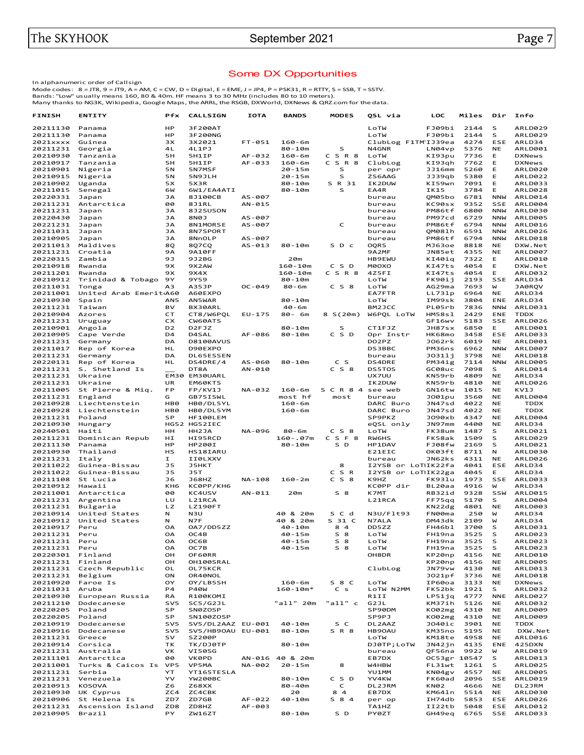#### Some DX Opportunities

In alphanumeric order of Callsign<br>Mode codes: 8 = JT8, 9 = JT9, A = AM, C = CW, D = Digital, E = EME, J = JP4, P = PSK31, R = RTTY, S = SSB, T = SSTV.<br>Bands: "Low" usually means 160, 80 & 40m. HF means 3 to 30 MHz (inclu

| <b>FINISH</b>        | <b>ENTITY</b>                 | Pfx             | <b>CALLSIGN</b>          | <b>IOTA</b> | <b>BANDS</b>           | <b>MODES</b>   | QSL via                | LOC                     | Miles        | Dir                     | Info                      |
|----------------------|-------------------------------|-----------------|--------------------------|-------------|------------------------|----------------|------------------------|-------------------------|--------------|-------------------------|---------------------------|
| 20211130             | Panama                        | HP              | 3F200AT                  |             |                        |                | LoTW                   | FJ09bi                  | 2144         | S                       | ARLD029                   |
| 20211130             | Panama                        | HP              | 3F200NG                  |             |                        |                | LoTW                   | FJ09bi                  | 2144         | s                       | ARLD029                   |
| 2021xxxx             | Guinea                        | зχ              | 3X2021                   | FT-051      | $160 - 6m$             |                | ClubLog F1TMIJ39ea     |                         | 4274         | ESE                     | ARLD34                    |
| 20211231             | Georgia                       | 4L              | 4L1PJ                    |             | 80-10m                 | S              | N4GNR                  | LN04vp                  | 5376         | <b>NE</b>               | ARLD001                   |
| 20210930             | Tanzania                      | 5H              | 5H1IP                    | AF-032      | $160 - 6m$             | C S R 8        | LOTW                   | KI93pu                  | 7736         | Е                       | <b>DXNews</b>             |
| 20210917             | Tanzania                      | 5H              | 5H1IP                    | AF-033      | $160 - 6m$             | CSR8           | ClubLog                | KI93gh                  | 7762         | Е                       | <b>DXNews</b>             |
| 20210901<br>20210915 | Nigeria<br>Nigeria            | 5N<br>5N        | 5N7MSF<br>5N9JLH         |             | 20-15m<br>$20 - 15m$   | s<br>S         | per opr<br>ZS6AAG      | <b>JJ16mm</b><br>JJ39qb | 5260<br>5380 | Е<br>Ε                  | ARLD020<br>ARLD022        |
| 20210902             | Uganda                        | 5X              | 5X3R                     |             | 80-10m                 | S R 31         | IK2DUW                 | KI59wn                  | 7091         | Е                       | ARLD033                   |
| 20211015             | Senegal                       | бW              | 6W1/EA4ATI               |             | 80-10m                 | s              | EA4R                   | IK15                    | 3784         | Е                       | ARLD028                   |
| 20220331             | Japan                         | JA              | 8J100CB                  | AS-007      |                        |                | bureau                 | QM05bo                  | 6781         | <b>NNW</b>              | ARLD014                   |
| 20211231             | Antarctica                    | 00              | 8J1RL                    | AN-015      |                        |                | bureau                 | KC90sx                  | 9352         | SSE                     | ARLD004                   |
| 20211231             | Japan                         | JA              | 8J2SUSON                 |             |                        |                | bureau                 | PM86tf                  | 6800         | <b>NNW</b>              | ARLD030                   |
| 20220430             | Japan                         | JA              | CON8                     | AS-007      |                        |                | bureau                 | PM97cd                  | 6729         | <b>NNW</b>              | <b>ARLD005</b>            |
| 20221231             | Japan                         | <b>JA</b>       | 8N1MORSE                 | AS-007      |                        | C              | bureau                 | PM86tf                  | 6794         | <b>NNW</b>              | ARLD016                   |
| 20211031             | Japan                         | JA              | 8N7SPORT                 |             |                        |                | bureau                 | 0M081h                  | 6591         | <b>NNW</b>              | ARLD026                   |
| 20210905             | Japan                         | JA              | 8NnOLP                   | AS-007      |                        |                | bureau                 | PM86tf                  | 6794         | <b>NNW</b>              | ARLD018                   |
| 20211013             | Maldives                      | 80              | 8Q7CQ                    | AS-013      | $80 - 10m$             | S D c          | OQRS                   | MJ63oe                  | 8818         | <b>NE</b>               | DXW.Net                   |
| 20211231<br>20220315 | Croatia<br>Zambia             | <b>9A</b><br>9J | <b>9A10FF</b><br>9J2BG   |             | 20m                    |                | 9A2MF<br><b>HB9EWU</b> | JN85et<br>KI40iq        | 4355<br>7322 | <b>NE</b><br>Е          | <b>ARLD007</b><br>ARLD010 |
| 20210918             | Rwanda                        | 9X              | 9X2AW                    |             | $160 - 10m$            | C S D          | M0OXO                  | KI47ts                  | 4054         | Е                       | DXW.Net                   |
| 20211201             | Rwanda                        | 9X              | 9X4X                     |             | $160 - 10m$            | C S R 8        | 4Z5FI                  | KI47ts                  | 4054         | Е                       | ARLD032                   |
| 20210912             | Trinidad & Tobago 9Y          |                 | 9Y59                     |             | 80-10m                 |                | LoTW                   | FK90ij                  | 2193         | SSE                     | ARLD34                    |
| 20211031             | Tonga                         | АЗ              | <b>A35JP</b>             | $OC - 049$  | 80-6m                  | $C$ S $8$      | LoTW                   | AG29ma                  | 7693         | W                       | JA0RQV                    |
| 20211001             | United Arab EmeritA60         |                 | A60EXPO                  |             |                        |                | <b>EA7FTR</b>          | LL731p                  | 6964         | <b>NE</b>               | ARLD34                    |
| 20210930             | Spain                         | AN5             | AN5WAR                   |             | $80 - 10m$             |                | LoTW                   | IM99sk                  | 3804         | ENE                     | ARLD34                    |
| 20211231             | Taiwan                        | BV              | BX30ARL                  |             | $40 - 6m$              |                | BM2JCC                 | PL05rb                  | 7836         | <b>NNW</b>              | ARLD031                   |
| 20210904             | Azores                        | СT              | CT8/W6POL                | EU-175      | 80- 6m                 | 8 S(20m)       | W6POL LOTW             | HM58s1                  | 2429         | ENE                     | <b>TDDX</b>               |
| 20211231             | Uruguay                       | CX              | CW60ATS                  |             |                        |                |                        | GF16wv                  | 5183         | SSE                     | ARLD026                   |
| 20210901             | Angola                        | D <sub>2</sub>  | D <sub>2FJZ</sub>        |             | 80-10m                 | s              | CT1FJZ                 | JH87sx                  | 6850         | Е                       | ARLD001                   |
| 20210905             | Cape Verde                    | D <sub>4</sub>  | D4SAL                    | AF-086      | $80 - 10m$             | C S D          | Opr Instr              | HK68mo                  | 3458         | ESE                     | ARLD033                   |
| 20211231             | Germany                       | DA              | <b>D8100AVUS</b>         |             |                        |                | DO2PZ                  | J062rk                  | 6019<br>6962 | <b>NE</b>               | ARLD001                   |
| 20211017<br>20211231 | Rep of Korea<br>Germany       | HL<br>DA        | D90EXPO<br>DL65ESSEN     |             |                        |                | DS3BBC<br>bureau       | PM36ns<br>J0311j        | 3798         | <b>NNW</b><br><b>NE</b> | <b>ARLD007</b><br>ARLD018 |
| 20220131             | Rep of Korea                  | HL              | DS4DRE/4                 | AS-060      | 80-10m                 | c s            | DS4DRE                 | PM34ig                  | 7114         | <b>NNW</b>              | <b>ARLD005</b>            |
| 20211231             | S. Shetland Is                |                 | DT8A                     | AN-010      |                        | $C_S8$         | <b>DS5TOS</b>          | GC08uc                  | 7098         | S                       | ARLD014                   |
| 20211231             | Ukraine                       |                 | EM30 EM30UARL            |             |                        |                | <b>UX7UU</b>           | KN59rb                  | 4809         | <b>NE</b>               | ARLD34                    |
| 20211231             | Ukraine                       | UR              | EM60KTS                  |             |                        |                | IK2DUW                 | KN59rb                  | 4810         | <b>NE</b>               | ARLD026                   |
| 20211005             | St Pierre & Miq.              | FP              | FP/KV1J                  | NA-032      | $160 - 6m$             | S C R 8 4      | see web                | GN16tw                  | 1015         | <b>NE</b>               | KV1J                      |
| 20211231             | England                       | G               | GB75ISWL                 |             | most hf                | most           | bureau                 | J001pu                  | 3560         | <b>NE</b>               | ARLD004                   |
| 20210928             | Liechtenstein                 | HB <sub>0</sub> | HB0/DL5YL                |             | $160 - 6m$             |                | DARC Buro              | JN47sd                  | 4022         | <b>NE</b>               | <b>TDDX</b>               |
| 20210928             | Liechtenstein                 | HB <sub>0</sub> | HB0/DL5YM                |             | 160-6m                 |                | DARC Buro              | JN47sd                  | 4022         | <b>NE</b>               | <b>TDDX</b>               |
| 20211231             | Poland                        | <b>SP</b>       | HF100LEM                 |             |                        |                | SP9PKZ                 | J090xb                  | 4347         | <b>NE</b>               | ARLD004                   |
| 20210930             | Hungary                       |                 | HG52 HG52IEC             |             |                        |                | eQSL only              | JN97mm                  | 4400         | <b>NE</b>               | ARLD34                    |
| 20240501             | Haiti                         | нн              | HH2JA                    | NA-096      | $80 - 6m$              | $C$ S $8$      | LoTW                   | FK38um                  | 1487         | s<br>s                  | ARLD021                   |
| 20211231<br>20211130 | Dominican Repub<br>Panama     | нI<br>HP        | HI95RCD<br><b>HP200I</b> |             | $160 - .07m$<br>80-10m | C S F 8<br>S D | RW6HS<br>HP1DAV        | FK58ak<br>FJ08fw        | 1509<br>2169 | S                       | ARLD029<br>ARLD021        |
| 20210930             | Thailand                      | HS              | HS18IARU                 |             |                        |                | E21EIC                 | OK03ft                  | 8711         | N                       | ARLD030                   |
| 20211231             | Italy                         | I.              | II0LXXV                  |             |                        |                | bureau                 | JN62ks                  | 4311         | <b>NE</b>               | ARLD026                   |
| 20211022             | Guinea-Bissau                 | <b>J5</b>       | <b>J5HKT</b>             |             |                        | 8              | I2YSB or LoTIIK22fa    |                         | 4041         | ESE                     | ARLD34                    |
| 20211022             | Guinea-Bissau                 | J5              | J5T                      |             |                        | C S R          | I2YSB or LoTIIK22ga    |                         | 4045         | Е                       | ARLD34                    |
| 20211108             | St Lucia                      | J6              | <b>J68HZ</b>             | NA-108      | $160 - 2m$             | $C_S8$         | K9HZ                   | FK931u                  | 1973         | SSE                     | ARLD033                   |
| 20210912             | Hawaii                        | KH <sub>6</sub> | КС0РР/КН6                |             |                        |                | KC0PP dir              | BL20aa                  | 4916         | W                       | ARLD34                    |
| 20211001             | Antarctica                    | 00              | KC4USV                   | AN-011      | 20m                    | S 8            | <b>K7MT</b>            | RB32id                  | 9328         | SSW                     | ARLD015                   |
| 20211231             | Argentina                     | LU              | L21RCA                   |             |                        |                | L21RCA                 | FF75qq                  | 5170         | s                       | ARLD004                   |
| 20211231             | Bulgaria                      | LZ.             | <b>LZ190FT</b>           |             |                        |                |                        | KN22dg                  | 4801         | <b>NE</b>               | ARLD003                   |
| 20210914             | United States                 | Ν               | N3U                      |             | 40 & 20m               | S C d          | N3U/F1t93              | FN00ma                  | 250          | W                       | ARLD34                    |
| 20210912<br>20210917 | United States<br>Peru         | N<br><b>OA</b>  | N7F<br>OA7/DD5ZZ         |             | 40 & 20m<br>$40 - 10m$ | S 31 C<br>84   | N7ALA<br>DD5ZZ         | DM43dk<br>FH46bl        | 2109<br>3700 | W<br>s                  | ARLD34<br>ARLD031         |
| 20211231             | Peru                          | OA              | OC4B                     |             | $40 - 15m$             | S 8            | LoTW                   | FH19na                  | 3525         | s                       | ARLD023                   |
| 20211231             | Peru                          | ОA              | ос6в                     |             | 40-15m                 | S 8            | LoTW                   | FH19na                  | 3525         | s                       | ARLD023                   |
| 20211231             | Peru                          | OA              | OC7B                     |             | 40-15m                 | $S$ 8          | LoTW                   | FH19na                  | 3525         | s                       | ARLD023                   |
| 20220301             | Finland                       | OH              | OF60RR                   |             |                        |                | OH8DR                  | KP20np                  | 4156         | <b>NE</b>               | ARLD010                   |
| 20211231             | Finland                       | OH              | OH100SRAL                |             |                        |                |                        | KP20np                  | 4156         | <b>NE</b>               | <b>ARLD005</b>            |
| 20211231             | Czech Republic                | OL              | OL75KCR                  |             |                        |                | ClubLog                | JN79vw                  | 4130         | <b>NE</b>               | ARLD013                   |
| 20211231             | Belgium                       | OΝ              | OR40NOL                  |             |                        |                |                        | J021pf                  | 3736         | <b>NE</b>               | ARLD018                   |
| 20210920             | Faroe Is                      | OY              | OY/LB5SH                 |             | $160 - 6m$             | S 8 C          | LoTW                   | IP60oa                  | 3133         | <b>NE</b>               | DXNews                    |
| 20211031             | Aruba                         | P4              | <b>P40W</b>              |             | $160 - 10m*$           | C <sub>s</sub> | LoTW N2MM              | FK52bk                  | 1921         | s                       | ARLD032                   |
| 20210930<br>20211210 | European Russia<br>Dodecanese | RA<br>SV5       | R100KOMI                 |             |                        | "all" c        | R1II                   | LP51jq<br>KM37ih        | 4777<br>5126 | <b>NNE</b><br><b>NE</b> | ARLD027                   |
| 20220205             | Poland                        | <b>SP</b>       | SC5/G2JL<br>SN0ZOSP      |             | "all" 20m              |                | G2JL<br>SP90DM         | K002mg                  | 4310         | <b>NE</b>               | ARLD032<br>ARLD009        |
| 20220205             | Poland                        | SP              | SN100ZOSP                |             |                        |                | SP9PJ                  | K002mg                  | 4310         | <b>NE</b>               | ARLD009                   |
| 20210919             | Dodecanese                    | SV5             | SV5/DL2AAZ EU-001        |             | $40 - 10m$             | S C            | DL <sub>2</sub> AAZ    | J040ic                  | 3901         | <b>NE</b>               | <b>TDDX</b>               |
| 20210916             | Dodecanese                    | SV5             | SV5/HB90AU EU-001        |             | $80 - 10m$             | S R 8          | HB90AU                 | KM35no                  | 5195         | <b>NE</b>               | DXW.Net                   |
| 20211231             | Greece                        | sv              | SZ200P                   |             |                        |                | LoTW                   | KM18te                  | 4958         | <b>NE</b>               | ARLD016                   |
| 20210914             | Corsica                       | TΚ              | TK/DJ0TP                 |             | 80-10m                 |                | DJ0TP; LoTW            | JN42jn                  | 4135         | ENE                     | 425DXN                    |
| 20211231             | Australia                     | VK              | VI50SG                   |             |                        |                | bureau                 | OF56na                  | 9922         | W                       | ARLD019                   |
| 20211101             | Antarctica                    | 00              | <b>VKØPD</b>             | AN-016      | 40 & 20m               |                | EB7DX                  | OC53gr 10547            |              | S                       | ARLD013                   |
| 20211001             | Turks & Caicos Is             | VP5             | VP5MA                    | NA-002      | 20-15m                 | 8              | W4HBW                  | FL31wt                  | 1261         | s                       | ARLD025                   |
| 20211231             | Serbia                        | YT              | YT165TESLA               |             |                        |                | <b>YU1MM</b>           | KN04gv                  | 4557         | <b>NE</b>               | ARLD005                   |
| 20211231             | Venezuela                     | YV              | YW200BC                  |             | 80-10m                 | C S D          | YV4KW                  | FK60ad                  | 2096         | SSE                     | ARLD019                   |
| 20210913<br>20210930 | <b>KOSOVA</b><br>UK Cyprus    | Z6<br>ZC4       | Z68XX<br>ZC4CBK          |             | 80-40m<br>20           | C<br>84        | DL2JRM<br>EB7DX        | <b>KN02</b><br>KM641n   | 4666<br>5514 | <b>NE</b><br>NE         | DL2JRM<br>ARLD030         |
| 20210906             | St Helena Is                  | ZD7             | ZD7GB                    | AF-022      | $40 - 10m$             | S 8 4          | per op                 | IH74db                  | 5853         | ESE                     | ARLD026                   |
| 20211231             | Ascension Island              | ZD8             | ZD8HZ                    | AF-003      |                        |                | <b>TA1HZ</b>           | II22tb                  | 5048         | ESE                     | ARLD012                   |
| 20210905             | Brazil                        | PΥ              | ZW16ZT                   |             | 80-10m                 | S D            | <b>PY0ZT</b>           | GH49eq                  | 6765         | SSE                     | ARLD033                   |